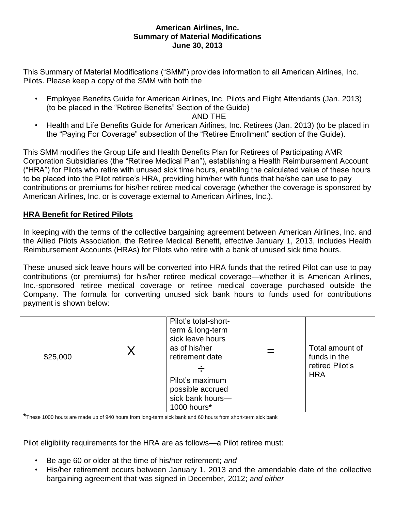## **American Airlines, Inc. Summary of Material Modifications June 30, 2013**

This Summary of Material Modifications ("SMM") provides information to all American Airlines, Inc. Pilots. Please keep a copy of the SMM with both the

• Employee Benefits Guide for American Airlines, Inc. Pilots and Flight Attendants (Jan. 2013) (to be placed in the "Retiree Benefits" Section of the Guide)

## AND THE

• Health and Life Benefits Guide for American Airlines, Inc. Retirees (Jan. 2013) (to be placed in the "Paying For Coverage" subsection of the "Retiree Enrollment" section of the Guide).

This SMM modifies the Group Life and Health Benefits Plan for Retirees of Participating AMR Corporation Subsidiaries (the "Retiree Medical Plan"), establishing a Health Reimbursement Account ("HRA") for Pilots who retire with unused sick time hours, enabling the calculated value of these hours to be placed into the Pilot retiree's HRA, providing him/her with funds that he/she can use to pay contributions or premiums for his/her retiree medical coverage (whether the coverage is sponsored by American Airlines, Inc. or is coverage external to American Airlines, Inc.).

## **HRA Benefit for Retired Pilots**

In keeping with the terms of the collective bargaining agreement between American Airlines, Inc. and the Allied Pilots Association, the Retiree Medical Benefit, effective January 1, 2013, includes Health Reimbursement Accounts (HRAs) for Pilots who retire with a bank of unused sick time hours.

These unused sick leave hours will be converted into HRA funds that the retired Pilot can use to pay contributions (or premiums) for his/her retiree medical coverage—whether it is American Airlines, Inc.-sponsored retiree medical coverage or retiree medical coverage purchased outside the Company. The formula for converting unused sick bank hours to funds used for contributions payment is shown below:

| \$25,000 |  | Pilot's total-short-<br>term & long-term<br>sick leave hours<br>as of his/her<br>retirement date<br>Pilot's maximum<br>possible accrued<br>sick bank hours-<br>1000 hours* |  | Total amount of<br>funds in the<br>retired Pilot's<br><b>HRA</b> |
|----------|--|----------------------------------------------------------------------------------------------------------------------------------------------------------------------------|--|------------------------------------------------------------------|
|----------|--|----------------------------------------------------------------------------------------------------------------------------------------------------------------------------|--|------------------------------------------------------------------|

**\***These 1000 hours are made up of 940 hours from long-term sick bank and 60 hours from short-term sick bank

Pilot eligibility requirements for the HRA are as follows—a Pilot retiree must:

- Be age 60 or older at the time of his/her retirement; *and*
- His/her retirement occurs between January 1, 2013 and the amendable date of the collective bargaining agreement that was signed in December, 2012; *and either*